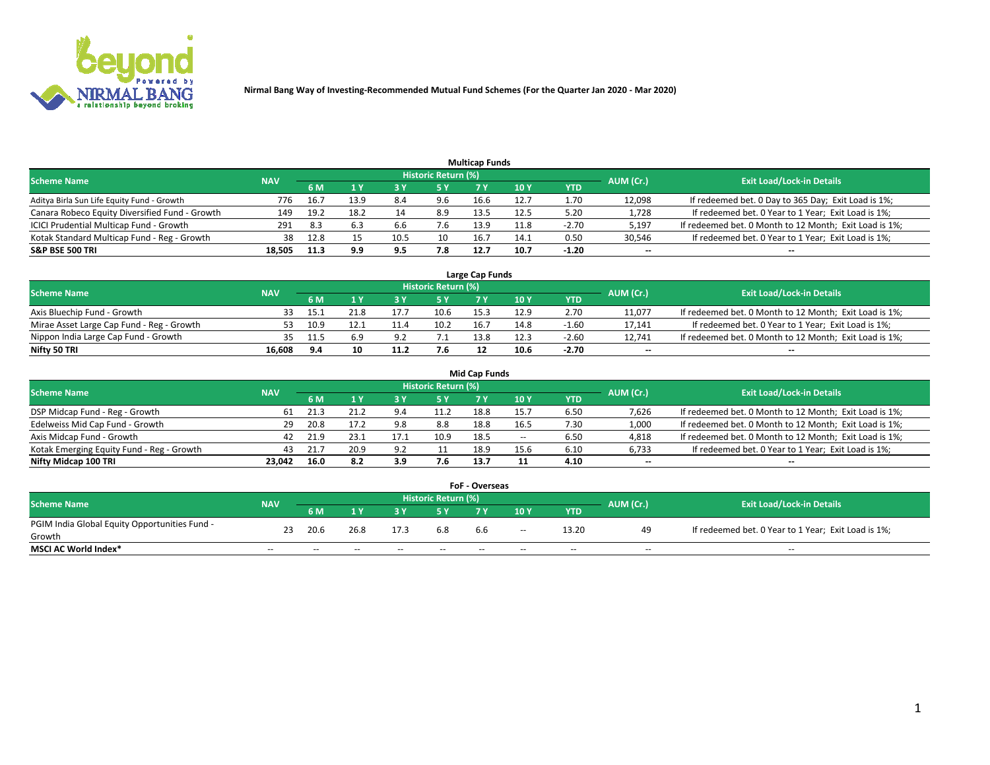

| <b>Multicap Funds</b>                          |            |      |      |      |                     |      |      |         |                          |                                                        |  |  |  |  |
|------------------------------------------------|------------|------|------|------|---------------------|------|------|---------|--------------------------|--------------------------------------------------------|--|--|--|--|
| Scheme Name                                    | <b>NAV</b> |      |      |      | Historic Return (%) |      |      |         | AUM (Cr.)                | <b>Exit Load/Lock-in Details</b>                       |  |  |  |  |
|                                                |            | 6 M  | 4 Y  |      | 5 Y                 |      | 10 Y | YTD     |                          |                                                        |  |  |  |  |
| Aditya Birla Sun Life Equity Fund - Growth     | 776        | 16.7 | 13.9 | 8.4  | 9.6                 | 16.6 | 12.7 | 1.70    | 12,098                   | If redeemed bet. 0 Day to 365 Day; Exit Load is 1%;    |  |  |  |  |
| Canara Robeco Equity Diversified Fund - Growth | 149        | 19.2 | 18.2 | 14   | 8.9                 | 13.5 | 12.5 | 5.20    | 1,728                    | If redeemed bet. 0 Year to 1 Year; Exit Load is 1%;    |  |  |  |  |
| ICICI Prudential Multicap Fund - Growth        | 291        | 8.3  |      | 6.6  | 7.6                 | 13.9 | 11.8 | $-2.70$ | 5,197                    | If redeemed bet. 0 Month to 12 Month; Exit Load is 1%; |  |  |  |  |
| Kotak Standard Multicap Fund - Reg - Growth    | 38         | 12.8 |      | 10.5 | 10                  | 16.7 | 14.1 | 0.50    | 30,546                   | If redeemed bet. 0 Year to 1 Year; Exit Load is 1%;    |  |  |  |  |
| <b>S&amp;P BSE 500 TRI</b>                     | 18.505     | 11.3 | 9.9  | 9.5  | 7.8                 | 12.7 | 10.7 | $-1.20$ | $\overline{\phantom{a}}$ | $-$                                                    |  |  |  |  |

| Large Cap Funds                           |            |       |      |      |                     |      |      |         |           |                                                        |  |  |  |  |
|-------------------------------------------|------------|-------|------|------|---------------------|------|------|---------|-----------|--------------------------------------------------------|--|--|--|--|
| Scheme Name                               | <b>NAV</b> |       |      |      | Historic Return (%) |      |      |         | AUM (Cr.) | <b>Exit Load/Lock-in Details</b>                       |  |  |  |  |
|                                           |            | 6 M   |      |      | 5 Y                 |      | 10Y  | YTD     |           |                                                        |  |  |  |  |
| Axis Bluechip Fund - Growth               |            | ֿ - ו | 21.8 |      | 10.6                | 15.3 | 12.9 | 2.70    | 11,077    | If redeemed bet. 0 Month to 12 Month; Exit Load is 1%; |  |  |  |  |
| Mirae Asset Large Cap Fund - Reg - Growth | 53         | 10.9  | 12.1 | .    | 10.2                | 16.  | 14.8 | $-1.60$ | 17,141    | If redeemed bet. 0 Year to 1 Year; Exit Load is 1%;    |  |  |  |  |
| Nippon India Large Cap Fund - Growth      |            | 11.5  |      |      |                     | 13.8 | 12.3 | $-2.60$ | 12.741    | If redeemed bet. 0 Month to 12 Month; Exit Load is 1%; |  |  |  |  |
| Nifty 50 TRI                              | 16.608     | 9.4   | 10   | 11.2 | 7.6                 |      | 10.6 | $-2.70$ | $\sim$    | $\sim$                                                 |  |  |  |  |

|                                           |            |      |      |      |                     | <b>Mid Cap Funds</b> |        |            |           |                                                        |
|-------------------------------------------|------------|------|------|------|---------------------|----------------------|--------|------------|-----------|--------------------------------------------------------|
| <b>Scheme Name</b>                        | <b>NAV</b> |      |      |      | Historic Return (%) |                      |        |            | AUM (Cr.) | <b>Exit Load/Lock-in Details</b>                       |
|                                           |            | 6 M  |      |      |                     |                      | 10Y    | <b>YTD</b> |           |                                                        |
| DSP Midcap Fund - Reg - Growth            | 61         | 21.3 |      | 9.4  | 11.2                | 18.8                 | 15.7   | 6.50       | 7,626     | If redeemed bet. 0 Month to 12 Month; Exit Load is 1%; |
| Edelweiss Mid Cap Fund - Growth           | 29.        | 20.8 |      | 9.8  | 8.8                 | 18.8                 | 16.5   | 7.30       | 1,000     | If redeemed bet. 0 Month to 12 Month; Exit Load is 1%; |
| Axis Midcap Fund - Growth                 | 42         | 21.9 | 23.1 | 17.1 | 10.9                | 18.5                 | $\sim$ | 6.50       | 4,818     | If redeemed bet. 0 Month to 12 Month; Exit Load is 1%; |
| Kotak Emerging Equity Fund - Reg - Growth | 43         | 21.7 | 20.9 | 9.2  |                     | 18.9                 | 15.6   | 6.10       | 6,733     | If redeemed bet. 0 Year to 1 Year; Exit Load is 1%;    |
| Nifty Midcap 100 TRI                      | 23.042     | 16.0 | 8.2  | 3.9  | 7.6                 | 13.7                 |        | 4.10       | $\sim$    |                                                        |

| <b>FoF - Overseas</b>                         |            |                                                                             |       |       |       |     |        |            |       |                                                     |  |  |  |
|-----------------------------------------------|------------|-----------------------------------------------------------------------------|-------|-------|-------|-----|--------|------------|-------|-----------------------------------------------------|--|--|--|
| <b>Scheme Name</b>                            | <b>NAV</b> | <b>Historic Return (%)</b><br>AUM (Cr.)<br><b>Exit Load/Lock-in Details</b> |       |       |       |     |        |            |       |                                                     |  |  |  |
|                                               |            | 6 M                                                                         |       |       |       |     | 10Y    | <b>YTD</b> |       |                                                     |  |  |  |
| PGIM India Global Equity Opportunities Fund - | 23         | 20.6                                                                        | 26.8  | 17.3  | 6.8   | 6.6 | $\sim$ | 13.20      | 49    | If redeemed bet. 0 Year to 1 Year; Exit Load is 1%; |  |  |  |
| Growth                                        |            |                                                                             |       |       |       |     |        |            |       |                                                     |  |  |  |
| <b>MSCI AC World Index*</b>                   | $- -$      | $- -$                                                                       | $- -$ | $- -$ | $- -$ | --  | $- -$  | $- -$      | $- -$ | $- -$                                               |  |  |  |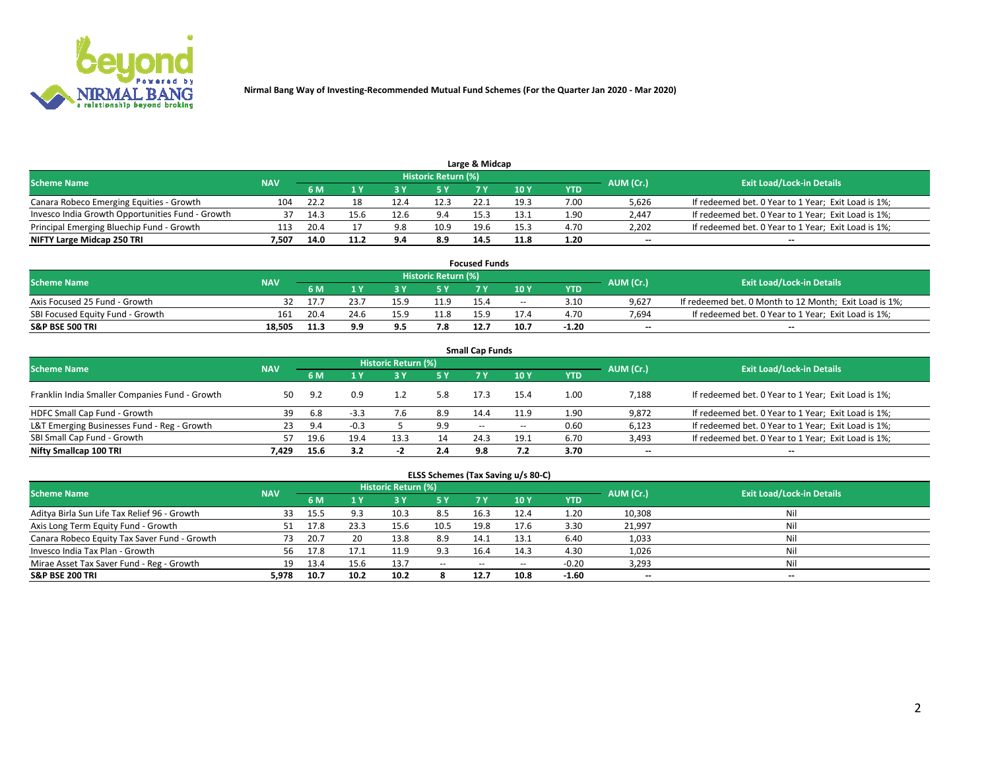

| Large & Midcap                                   |            |                                  |      |      |      |      |      |      |       |                                                     |  |  |  |  |
|--------------------------------------------------|------------|----------------------------------|------|------|------|------|------|------|-------|-----------------------------------------------------|--|--|--|--|
| <b>Scheme Name</b>                               | AUM (Cr.)  | <b>Exit Load/Lock-in Details</b> |      |      |      |      |      |      |       |                                                     |  |  |  |  |
|                                                  | <b>NAV</b> | 6 M                              |      |      |      |      | 10 Y | YTD  |       |                                                     |  |  |  |  |
| Canara Robeco Emerging Equities - Growth         | 104        | -22.2                            | 18   | 12.4 | 12.3 | 22.1 | 19.3 | 7.00 | 5,626 | If redeemed bet. 0 Year to 1 Year; Exit Load is 1%; |  |  |  |  |
| Invesco India Growth Opportunities Fund - Growth |            | 14.3                             |      | 12.6 | 9.4  | 15.3 | 13.1 | 1.90 | 2,447 | If redeemed bet. 0 Year to 1 Year; Exit Load is 1%; |  |  |  |  |
| Principal Emerging Bluechip Fund - Growth        | 113        | 20.4                             |      |      | 10.9 | 19.6 | 15.3 | 4.70 | 2,202 | If redeemed bet. 0 Year to 1 Year; Exit Load is 1%; |  |  |  |  |
| NIFTY Large Midcap 250 TRI                       | 7.507      | 14.0                             | 11.2 | 9.4  | 8.9  | 14.5 | 11.8 | 1.20 | $- -$ | $- -$                                               |  |  |  |  |

| <b>Focused Funds</b>             |            |      |      |      |                                  |      |       |            |                          |                                                        |  |  |  |
|----------------------------------|------------|------|------|------|----------------------------------|------|-------|------------|--------------------------|--------------------------------------------------------|--|--|--|
| <b>Scheme Name</b>               | <b>NAV</b> |      |      |      | Historic Return (%) <sup> </sup> |      |       |            |                          | <b>Exit Load/Lock-in Details</b>                       |  |  |  |
|                                  |            | 6 M  |      |      |                                  |      | 10 Y  | <b>YTD</b> | AUM (Cr.)                |                                                        |  |  |  |
| Axis Focused 25 Fund - Growth    | 32         |      | 23.7 | 15.9 | 11.9                             | 15.4 | $- -$ | 3.10       | 9.627                    | If redeemed bet. 0 Month to 12 Month; Exit Load is 1%; |  |  |  |
| SBI Focused Equity Fund - Growth |            | 20.4 | 24.6 | 15.9 | 11.8                             | 15.9 | 17.4  | 4.70       | 7.694                    | If redeemed bet. 0 Year to 1 Year: Exit Load is 1%:    |  |  |  |
| S&P BSE 500 TRI                  | 18.505     | 11.3 | 9.9  | 9.5  | 7.8                              | 12.7 | 10.7  | $-1.20$    | $\overline{\phantom{a}}$ | $\overline{\phantom{a}}$                               |  |  |  |

| <b>Small Cap Funds</b>                         |            |      |        |                     |     |               |        |      |           |                                                     |  |  |  |  |
|------------------------------------------------|------------|------|--------|---------------------|-----|---------------|--------|------|-----------|-----------------------------------------------------|--|--|--|--|
| <b>Scheme Name</b>                             | <b>NAV</b> |      |        | Historic Return (%) |     |               |        |      | AUM (Cr.) | <b>Exit Load/Lock-in Details</b>                    |  |  |  |  |
|                                                |            | 6 M  |        | 3Y                  | 5 Y | 7 Y           | 10Y    | YTD  |           |                                                     |  |  |  |  |
| Franklin India Smaller Companies Fund - Growth | 50         | 9.2  | 0.9    |                     | 5.8 | 17.3          | 15.4   | 1.00 | 7,188     | If redeemed bet. 0 Year to 1 Year; Exit Load is 1%; |  |  |  |  |
| HDFC Small Cap Fund - Growth                   | 39         | 6.8  | $-3.3$ |                     | 8.9 | 14.4          | 11.9   | 1.90 | 9,872     | If redeemed bet. 0 Year to 1 Year; Exit Load is 1%; |  |  |  |  |
| L&T Emerging Businesses Fund - Reg - Growth    | 23         | 9.4  | $-0.3$ |                     | 9.9 | $\sim$ $\sim$ | $\sim$ | 0.60 | 6,123     | If redeemed bet. 0 Year to 1 Year; Exit Load is 1%; |  |  |  |  |
| SBI Small Cap Fund - Growth                    | 57         | 19.6 | 19.4   | 13.3                | 14  | 24.3          | 19.1   | 6.70 | 3,493     | If redeemed bet. 0 Year to 1 Year; Exit Load is 1%; |  |  |  |  |
| Nifty Smallcap 100 TRI                         | 7.429      | 15.6 | 3.2    | -4                  | 2.4 | 9.8           | 7.2    | 3.70 | $\sim$    | $- -$                                               |  |  |  |  |

## **ELSS Schemes (Tax Saving u/s 80-C)**

| <b>Scheme Name</b>                           | <b>NAV</b> |      |                         | <b>Historic Return (%)</b> |           |      |       |            | AUM (Cr.) | <b>Exit Load/Lock-in Details</b> |
|----------------------------------------------|------------|------|-------------------------|----------------------------|-----------|------|-------|------------|-----------|----------------------------------|
|                                              |            | 6 M  | $\mathbf{1} \mathbf{V}$ | <b>3Y</b>                  | <b>5Y</b> | 7 Y. | 10Y   | <b>YTD</b> |           |                                  |
| Aditya Birla Sun Life Tax Relief 96 - Growth | 33         | 15.5 |                         | 10.3                       | 8.5       | 16.3 | 12.4  | 1.20       | 10,308    | Nil                              |
| Axis Long Term Equity Fund - Growth          | 51         | 17.8 | 23.3                    | 15.6                       | 10.5      | 19.8 | 17.6  | 3.30       | 21,997    | Nil                              |
| Canara Robeco Equity Tax Saver Fund - Growth | 73         | 20.7 | 20                      | 13.8                       | 8.9       | 14.1 | 13.1  | 6.40       | 1,033     | Nil                              |
| Invesco India Tax Plan - Growth              | 56         | 17.8 | 17.1                    |                            | 9.3       | 16.4 | 14.3  | 4.30       | 1,026     | Nil                              |
| Mirae Asset Tax Saver Fund - Reg - Growth    | 19         | 13.4 | 15.6                    | 13.7                       | $- -$     | --   | $- -$ | $-0.20$    | 3,293     | Nil                              |
| S&P BSE 200 TRI                              | 5.978      | 10.7 | 10.2                    | 10.2                       |           | 12.7 | 10.8  | $-1.60$    | $\sim$    | $- -$                            |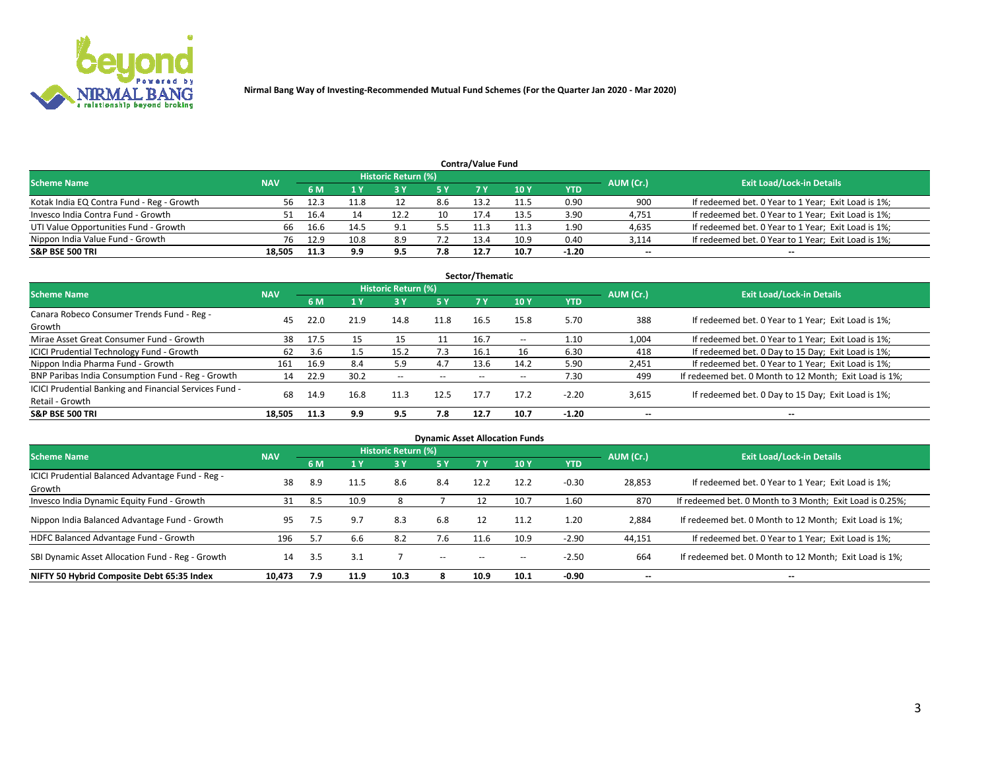

| <b>Contra/Value Fund</b>                                                                                        |        |      |      |      |     |      |      |            |        |                                                     |  |  |  |  |
|-----------------------------------------------------------------------------------------------------------------|--------|------|------|------|-----|------|------|------------|--------|-----------------------------------------------------|--|--|--|--|
| <b>Historic Return (%)</b><br><b>Exit Load/Lock-in Details</b><br>AUM (Cr.)<br><b>Scheme Name</b><br><b>NAV</b> |        |      |      |      |     |      |      |            |        |                                                     |  |  |  |  |
|                                                                                                                 |        | 6 M  |      |      | 5 Y | 7 V  | 10Y  | <b>YTD</b> |        |                                                     |  |  |  |  |
| Kotak India EQ Contra Fund - Reg - Growth                                                                       | 56.    | 12.3 | 11.8 |      | 8.6 | 13.2 | 11.5 | 0.90       | 900    | If redeemed bet. 0 Year to 1 Year; Exit Load is 1%; |  |  |  |  |
| Invesco India Contra Fund - Growth                                                                              |        | 16.4 |      | 12.2 | 10  | 17.4 | 13.5 | 3.90       | 4,751  | If redeemed bet. 0 Year to 1 Year; Exit Load is 1%; |  |  |  |  |
| UTI Value Opportunities Fund - Growth                                                                           | 66     | 16.6 | 14.5 | ∩ q  | 5.5 |      | 11.3 | 1.90       | 4,635  | If redeemed bet. 0 Year to 1 Year; Exit Load is 1%; |  |  |  |  |
| Nippon India Value Fund - Growth                                                                                | 76     | 12.9 | 10.8 | 8.9  |     | 13.4 | 10.9 | 0.40       | 3,114  | If redeemed bet. 0 Year to 1 Year; Exit Load is 1%; |  |  |  |  |
| <b>S&amp;P BSE 500 TRI</b>                                                                                      | 18,505 | 11.3 | 9.9  | 9.5  | 7.8 | 12.7 | 10.7 | $-1.20$    | $\sim$ | $- -$                                               |  |  |  |  |

| Sector/Thematic                                                           |            |      |      |                     |           |       |                          |            |                          |                                                        |  |  |  |
|---------------------------------------------------------------------------|------------|------|------|---------------------|-----------|-------|--------------------------|------------|--------------------------|--------------------------------------------------------|--|--|--|
| <b>Scheme Name</b>                                                        | <b>NAV</b> |      |      | Historic Return (%) |           |       |                          |            | AUM (Cr.)                | <b>Exit Load/Lock-in Details</b>                       |  |  |  |
|                                                                           |            | 6 M  | 1 Y  | 73 Y                | <b>5Y</b> | 7 Y   | 10Y                      | <b>YTD</b> |                          |                                                        |  |  |  |
| Canara Robeco Consumer Trends Fund - Reg -<br>Growth                      | 45         | 22.0 | 21.9 | 14.8                | 11.8      | 16.5  | 15.8                     | 5.70       | 388                      | If redeemed bet. 0 Year to 1 Year; Exit Load is 1%;    |  |  |  |
| Mirae Asset Great Consumer Fund - Growth                                  | 38         | 17.5 | 15   |                     |           | 16.7  | $\overline{\phantom{a}}$ | 1.10       | 1,004                    | If redeemed bet. 0 Year to 1 Year; Exit Load is 1%;    |  |  |  |
| ICICI Prudential Technology Fund - Growth                                 | 62         | 3.6  |      | 15.2                | 7.3       | 16.1  | 16                       | 6.30       | 418                      | If redeemed bet. 0 Day to 15 Day; Exit Load is 1%;     |  |  |  |
| Nippon India Pharma Fund - Growth                                         | 161        | 16.9 | 8.4  | 5.9                 | 4.7       | 13.6  | 14.2                     | 5.90       | 2,451                    | If redeemed bet. 0 Year to 1 Year; Exit Load is 1%;    |  |  |  |
| BNP Paribas India Consumption Fund - Reg - Growth                         | 14         | 22.9 | 30.2 | $- -$               | $- -$     | $- -$ | $- -$                    | 7.30       | 499                      | If redeemed bet. 0 Month to 12 Month; Exit Load is 1%; |  |  |  |
| ICICI Prudential Banking and Financial Services Fund -<br>Retail - Growth | 68         | 14.9 | 16.8 | 11.3                | 12.5      | 17.7  | 17.2                     | $-2.20$    | 3,615                    | If redeemed bet. 0 Day to 15 Day; Exit Load is 1%;     |  |  |  |
| <b>S&amp;P BSE 500 TRI</b>                                                | 18.505     | 11.3 | 9.9  | 9.5                 | 7.8       | 12.7  | 10.7                     | $-1.20$    | $\overline{\phantom{a}}$ | $\overline{\phantom{a}}$                               |  |  |  |

| <b>Dynamic Asset Allocation Funds</b>                      |            |     |      |                     |       |           |      |            |                          |                                                          |  |  |  |
|------------------------------------------------------------|------------|-----|------|---------------------|-------|-----------|------|------------|--------------------------|----------------------------------------------------------|--|--|--|
| <b>Scheme Name</b>                                         | <b>NAV</b> |     |      | Historic Return (%) |       |           |      |            | AUM (Cr.)                | <b>Exit Load/Lock-in Details</b>                         |  |  |  |
|                                                            |            | 6 M |      | 3 Y                 | 5 Y   | <b>7Y</b> | 10Y  | <b>YTD</b> |                          |                                                          |  |  |  |
| ICICI Prudential Balanced Advantage Fund - Reg -<br>Growth | 38         | 8.9 | 11.5 | 8.6                 | 8.4   | 12.2      | 12.2 | $-0.30$    | 28,853                   | If redeemed bet. 0 Year to 1 Year; Exit Load is 1%;      |  |  |  |
| Invesco India Dynamic Equity Fund - Growth                 | 31         | 8.5 | 10.9 |                     |       | 12        | 10.7 | 1.60       | 870                      | If redeemed bet. 0 Month to 3 Month; Exit Load is 0.25%; |  |  |  |
| Nippon India Balanced Advantage Fund - Growth              | 95         | 7.5 | 9.7  | 8.3                 | 6.8   | 12        | 11.2 | 1.20       | 2,884                    | If redeemed bet. 0 Month to 12 Month; Exit Load is 1%;   |  |  |  |
| HDFC Balanced Advantage Fund - Growth                      | 196        | 5.7 | 6.6  | 8.2                 | 7.6   | 11.6      | 10.9 | $-2.90$    | 44,151                   | If redeemed bet. 0 Year to 1 Year; Exit Load is 1%;      |  |  |  |
| SBI Dynamic Asset Allocation Fund - Reg - Growth           | 14         | 3.5 | 3.1  |                     | $- -$ | $- -$     | --   | $-2.50$    | 664                      | If redeemed bet. 0 Month to 12 Month; Exit Load is 1%;   |  |  |  |
| NIFTY 50 Hybrid Composite Debt 65:35 Index                 | 10,473     | 7.9 | 11.9 | 10.3                |       | 10.9      | 10.1 | $-0.90$    | $\overline{\phantom{a}}$ | $- -$                                                    |  |  |  |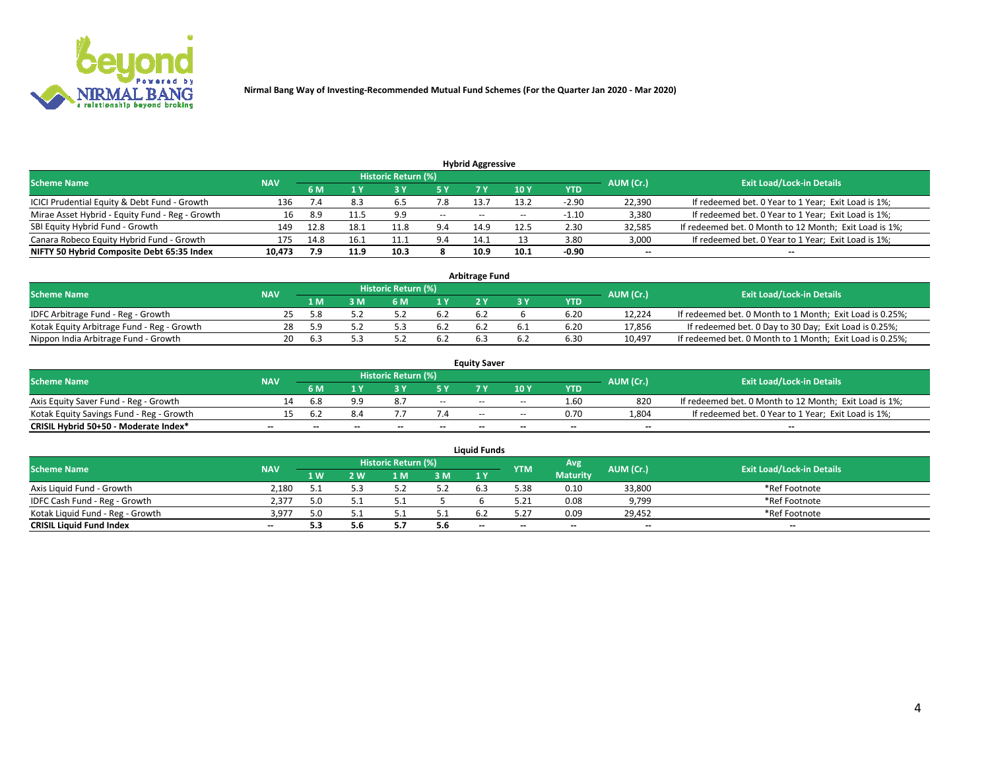

| <b>Hybrid Aggressive</b>                        |            |      |      |                     |       |       |       |         |           |                                                        |  |  |  |  |
|-------------------------------------------------|------------|------|------|---------------------|-------|-------|-------|---------|-----------|--------------------------------------------------------|--|--|--|--|
| <b>Scheme Name</b>                              | <b>NAV</b> |      |      | Historic Return (%) |       |       |       |         | AUM (Cr.) | <b>Exit Load/Lock-in Details</b>                       |  |  |  |  |
|                                                 |            | 6 M  | 1 Y  |                     | 5 Y   |       | 10 Y  | YTD     |           |                                                        |  |  |  |  |
| ICICI Prudential Equity & Debt Fund - Growth    | 136        | 7.4  | 8.3  | 6.5                 | 7.8   | 13.7  | 13.2  | $-2.90$ | 22,390    | If redeemed bet. 0 Year to 1 Year; Exit Load is 1%;    |  |  |  |  |
| Mirae Asset Hybrid - Equity Fund - Reg - Growth | 16         | 8.9  | 11.5 | 9.9                 | $- -$ | $- -$ | $- -$ | -1.10   | 3,380     | If redeemed bet. 0 Year to 1 Year; Exit Load is 1%;    |  |  |  |  |
| SBI Equity Hybrid Fund - Growth                 | 149        | 12.8 | 18.1 | 11.8                | 9.4   | 14.9  | 12.5  | 2.30    | 32,585    | If redeemed bet. 0 Month to 12 Month; Exit Load is 1%; |  |  |  |  |
| Canara Robeco Equity Hybrid Fund - Growth       | 175        | 14.8 | 16.1 | 11.1                | 9.4   | 14.1  |       | 3.80    | 3,000     | If redeemed bet. 0 Year to 1 Year; Exit Load is 1%;    |  |  |  |  |
| NIFTY 50 Hybrid Composite Debt 65:35 Index      | 10,473     | 7.9  | 11.9 | 10.3                |       | 10.9  | 10.1  | $-0.90$ | $\sim$    | $- -$                                                  |  |  |  |  |

| <b>Arbitrage Fund</b>                      |            |            |     |                     |     |  |  |      |           |                                                          |  |  |  |  |
|--------------------------------------------|------------|------------|-----|---------------------|-----|--|--|------|-----------|----------------------------------------------------------|--|--|--|--|
| Scheme Name                                | <b>NAV</b> |            |     | Historic Return (%) |     |  |  |      | AUM (Cr.) | <b>Exit Load/Lock-in Details</b>                         |  |  |  |  |
|                                            |            | 1 M'       | : M | 6 M                 |     |  |  | YTD  |           |                                                          |  |  |  |  |
| IDFC Arbitrage Fund - Reg - Growth         |            |            |     |                     |     |  |  | 6.20 | 12.224    | If redeemed bet. 0 Month to 1 Month; Exit Load is 0.25%; |  |  |  |  |
| Kotak Equity Arbitrage Fund - Reg - Growth | 28         |            |     |                     | b.Z |  |  | 6.20 | 17,856    | If redeemed bet. 0 Day to 30 Day; Exit Load is 0.25%;    |  |  |  |  |
| Nippon India Arbitrage Fund - Growth       | 20         | $h \Delta$ |     |                     |     |  |  | 6.30 | 10.497    | If redeemed bet. 0 Month to 1 Month; Exit Load is 0.25%; |  |  |  |  |

|                                          | <b>Equity Saver</b> |           |                                  |                          |                          |               |               |            |                          |                                                        |  |  |  |  |  |
|------------------------------------------|---------------------|-----------|----------------------------------|--------------------------|--------------------------|---------------|---------------|------------|--------------------------|--------------------------------------------------------|--|--|--|--|--|
| Scheme Name                              | <b>NAV</b>          | AUM (Cr.) | <b>Exit Load/Lock-in Details</b> |                          |                          |               |               |            |                          |                                                        |  |  |  |  |  |
|                                          |                     | 6 M       |                                  |                          | 5 Y                      |               | $\sqrt{10}$ Y | <b>YTD</b> |                          |                                                        |  |  |  |  |  |
| Axis Equity Saver Fund - Reg - Growth    |                     | 6.8       | 9.9                              |                          | $\sim$                   | $- -$         | $- -$         | 1.60       | 820                      | If redeemed bet. 0 Month to 12 Month; Exit Load is 1%; |  |  |  |  |  |
| Kotak Equity Savings Fund - Reg - Growth |                     | h         |                                  |                          |                          | $\sim$ $\sim$ | $- -$         | 0.70       | 1,804                    | If redeemed bet. 0 Year to 1 Year; Exit Load is 1%;    |  |  |  |  |  |
| CRISIL Hybrid 50+50 - Moderate Index*    |                     | $-$       | $-$                              | $\overline{\phantom{a}}$ | $\overline{\phantom{a}}$ | $\sim$        | --            | $\sim$     | $\overline{\phantom{a}}$ | $- -$                                                  |  |  |  |  |  |

| <b>Liquid Funds</b>              |            |      |     |                            |      |                          |            |                 |           |                                  |  |  |  |  |
|----------------------------------|------------|------|-----|----------------------------|------|--------------------------|------------|-----------------|-----------|----------------------------------|--|--|--|--|
| Scheme Name                      | <b>NAV</b> |      |     | <b>Historic Return (%)</b> |      |                          | <b>YTM</b> | Avg             | AUM (Cr.) | <b>Exit Load/Lock-in Details</b> |  |  |  |  |
|                                  |            | 1 W. | 2 W | 1 M                        | 3M   | 71 Y                     |            | <b>Maturity</b> |           |                                  |  |  |  |  |
| Axis Liquid Fund - Growth        | 2,180      |      |     |                            | 5.2  |                          | 5.38       | 0.10            | 33,800    | *Ref Footnote                    |  |  |  |  |
| IDFC Cash Fund - Reg - Growth    | 2,377      |      |     |                            |      |                          | 5.21       | 0.08            | 9,799     | *Ref Footnote                    |  |  |  |  |
| Kotak Liquid Fund - Reg - Growth | 3.97       |      |     |                            | ۰۰ ت |                          |            | 0.09            | 29,452    | *Ref Footnote                    |  |  |  |  |
| <b>CRISIL Liquid Fund Index</b>  | $\sim$     | 5.3  |     |                            | 5.6  | $\overline{\phantom{a}}$ | $-$        | $\sim$          | $\sim$    | $\sim$                           |  |  |  |  |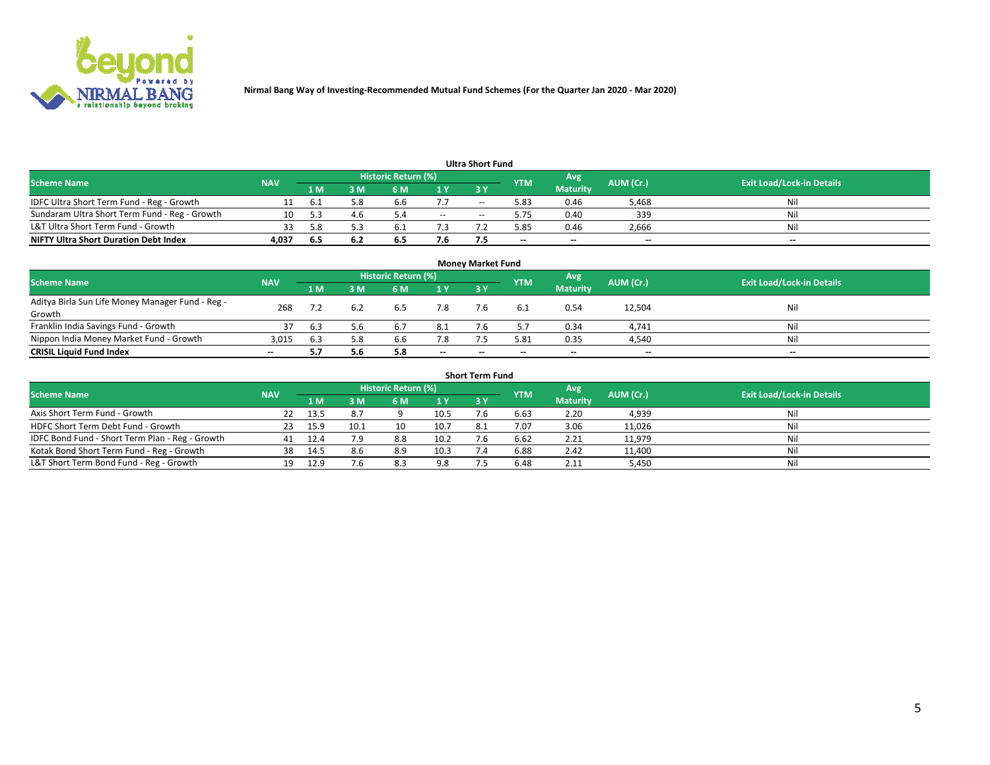

|                                               |            |      |      |                     |       | <b>Ultra Short Fund</b> |            |                 |           |                                  |
|-----------------------------------------------|------------|------|------|---------------------|-------|-------------------------|------------|-----------------|-----------|----------------------------------|
| <b>Scheme Name</b>                            | <b>NAV</b> |      |      | Historic Return (%) |       |                         | <b>YTM</b> | Avg             | AUM (Cr.) | <b>Exit Load/Lock-in Details</b> |
|                                               |            | 1 M  | 3 M  | 6 M                 | 1 Y   | 3 Y                     |            | <b>Maturity</b> |           |                                  |
| IDFC Ultra Short Term Fund - Reg - Growth     |            | -6.1 | 5.8  | 6.b                 | 7.7   | $- -$                   | 5.83       | 0.46            | 5,468     | Nil                              |
| Sundaram Ultra Short Term Fund - Reg - Growth |            |      | 4.6  |                     | $- -$ | --                      | 5.75       | 0.40            | 339       | Nil                              |
| L&T Ultra Short Term Fund - Growth            |            | 58   |      |                     |       |                         | .85        | 0.46            | 2,666     | Nil                              |
| <b>NIFTY Ultra Short Duration Debt Index</b>  | 4.037      | 6.5  | -6.2 | 6.5                 | 7.6   |                         | $\sim$     | $\sim$          | $\sim$    | $- -$                            |

| <b>Monev Market Fund</b>                         |            |      |     |                     |        |        |            |                 |           |                                  |  |  |  |
|--------------------------------------------------|------------|------|-----|---------------------|--------|--------|------------|-----------------|-----------|----------------------------------|--|--|--|
| <b>Scheme Name</b>                               | <b>NAV</b> |      |     | Historic Return (%) |        |        | <b>YTM</b> | Avg             | AUM (Cr.) | <b>Exit Load/Lock-in Details</b> |  |  |  |
|                                                  |            | 1 M. | 3 M | 6 M                 | 1Y     | 3Y     |            | <b>Maturity</b> |           |                                  |  |  |  |
| Aditya Birla Sun Life Money Manager Fund - Reg - | 268        |      |     | 6.5                 | 7.8    |        | 6.1        | 0.54            | 12,504    | Nil                              |  |  |  |
| Growth                                           |            |      |     |                     |        |        |            |                 |           |                                  |  |  |  |
| Franklin India Savings Fund - Growth             |            | 6.3  | 5.6 | -6.7                | 8.1    |        |            | 0.34            | 4,741     | Nil                              |  |  |  |
| Nippon India Money Market Fund - Growth          | 3,015      | 6.3  | 5.8 | 6.6                 | 7.8    |        | 5.81       | 0.35            | 4,540     | Nil                              |  |  |  |
| <b>CRISIL Liquid Fund Index</b>                  | $\sim$     |      | 5.6 |                     | $\sim$ | $\sim$ | --         | $\sim$          | $\sim$    | $- -$                            |  |  |  |

| <b>Short Term Fund</b>                          |            |      |      |                     |      |           |            |                 |           |                                  |  |  |  |  |
|-------------------------------------------------|------------|------|------|---------------------|------|-----------|------------|-----------------|-----------|----------------------------------|--|--|--|--|
| <b>Scheme Name</b>                              | <b>NAV</b> |      |      | Historic Return (%) |      |           | <b>YTM</b> | Avg             | AUM (Cr.) | <b>Exit Load/Lock-in Details</b> |  |  |  |  |
|                                                 |            | 1 M  | 3 M  | 6 M                 | 1Y   | <b>3Y</b> |            | <b>Maturity</b> |           |                                  |  |  |  |  |
| Axis Short Term Fund - Growth                   |            | 13.5 | 8.7  |                     | 10.5 |           | 6.63       | 2.20            | 4,939     | Nil                              |  |  |  |  |
| HDFC Short Term Debt Fund - Growth              | -23        | 15.9 | 10.1 | 10                  | 10.7 | 8.1       | 7.07       | 3.06            | 11,026    | Nil                              |  |  |  |  |
| IDFC Bond Fund - Short Term Plan - Reg - Growth | 41         | 12.4 | 7.9  | 8.8                 | 10.2 |           | 6.62       | 2.21            | 11,979    | Nil                              |  |  |  |  |
| Kotak Bond Short Term Fund - Reg - Growth       | 38         | 14.5 | 8.6  | 8.9                 | 10.3 |           | 6.88       | 2.42            | 11,400    | Nil                              |  |  |  |  |
| L&T Short Term Bond Fund - Reg - Growth         |            | 12.9 | 7.6  | 8.3                 | 9.8  |           | 6.48       | 2.11            | 5,450     | Nil                              |  |  |  |  |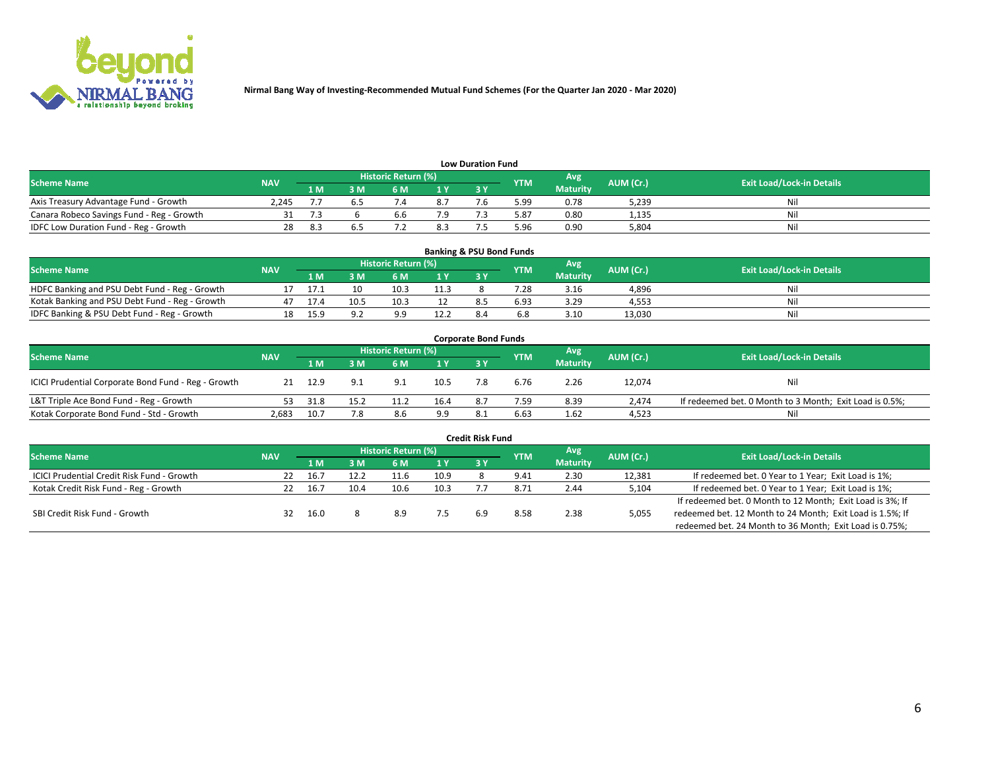

| <b>Low Duration Fund</b>                  |            |     |     |                            |     |    |            |                 |           |                                  |  |  |  |  |
|-------------------------------------------|------------|-----|-----|----------------------------|-----|----|------------|-----------------|-----------|----------------------------------|--|--|--|--|
| <b>Scheme Name</b>                        | <b>NAV</b> |     |     | <b>Historic Return (%)</b> |     |    | <b>YTM</b> | Avg             | AUM (Cr.) | <b>Exit Load/Lock-in Details</b> |  |  |  |  |
|                                           |            | 1 M | ያ M | 5 M                        | 1 V | 2V |            | <b>Maturity</b> |           |                                  |  |  |  |  |
| Axis Treasury Advantage Fund - Growth     | 2.245      |     |     |                            | 8.7 |    | 5.99       | 0.78            | 5,239     | Nil                              |  |  |  |  |
| Canara Robeco Savings Fund - Reg - Growth |            |     |     | b.t                        |     |    | 5.87       | 0.80            | 1,135     | Nil                              |  |  |  |  |
| IDFC Low Duration Fund - Reg - Growth     |            |     |     |                            | 8.3 |    | 5.96       | 0.90            | 5,804     | Nil                              |  |  |  |  |

| <b>Banking &amp; PSU Bond Funds</b>            |            |      |      |                            |                |       |            |                 |           |                                  |  |  |  |
|------------------------------------------------|------------|------|------|----------------------------|----------------|-------|------------|-----------------|-----------|----------------------------------|--|--|--|
| <b>Scheme Name</b>                             | <b>NAV</b> |      |      | <b>Historic Return (%)</b> |                |       | <b>YTM</b> | Avg             | AUM (Cr.) | <b>Exit Load/Lock-in Details</b> |  |  |  |
|                                                |            | 1 M  | 8 M  |                            | 4 <sub>Y</sub> | $-3V$ |            | <b>Maturity</b> |           |                                  |  |  |  |
| HDFC Banking and PSU Debt Fund - Reg - Growth  |            |      |      | 10.3                       | 11.3           |       | 28         | 3.16            | 4,896     | Nil                              |  |  |  |
| Kotak Banking and PSU Debt Fund - Reg - Growth | 47         | 17.4 | 10.5 | 10.5                       |                |       | 6.93       | 3.29            | 4,553     | Nil                              |  |  |  |
| IDFC Banking & PSU Debt Fund - Reg - Growth    |            | 15.9 |      | $\alpha$                   | 12.2           |       |            | 3.10            | 13.030    | Nil                              |  |  |  |

| <b>Corporate Bond Funds</b>                         |            |      |                         |                     |      |    |            |                 |           |                                                         |  |  |  |
|-----------------------------------------------------|------------|------|-------------------------|---------------------|------|----|------------|-----------------|-----------|---------------------------------------------------------|--|--|--|
| <b>Scheme Name</b>                                  | <b>NAV</b> |      |                         | Historic Return (%) |      |    | <b>YTM</b> | Avg             | AUM (Cr.) | <b>Exit Load/Lock-in Details</b>                        |  |  |  |
|                                                     |            | 1 M  | $\overline{\mathsf{M}}$ | 6 M                 | 1Y   | 3V |            | <b>Maturity</b> |           |                                                         |  |  |  |
| ICICI Prudential Corporate Bond Fund - Reg - Growth | 21         | 12.9 | 9.1                     | 9.1                 | 10.5 |    | 6.76       | 2.26            | 12,074    | Nil                                                     |  |  |  |
| L&T Triple Ace Bond Fund - Reg - Growth             | 53         | 31.8 | 15.2                    | 11.2                | 16.4 |    | 7.59       | 8.39            | 2.474     | If redeemed bet. 0 Month to 3 Month; Exit Load is 0.5%; |  |  |  |
| Kotak Corporate Bond Fund - Std - Growth            | 2,683      | 10.7 | 7.8                     | 8.6                 | 9.9  |    | 6.63       | 1.62            | 4,523     | Nil                                                     |  |  |  |

| <b>Credit Risk Fund</b>                           |            |      |      |                            |      |     |            |                 |           |                                                           |  |  |  |
|---------------------------------------------------|------------|------|------|----------------------------|------|-----|------------|-----------------|-----------|-----------------------------------------------------------|--|--|--|
| <b>Scheme Name</b>                                | <b>NAV</b> |      |      | <b>Historic Return (%)</b> |      |     | <b>YTM</b> | 'Avg            | AUM (Cr.) | <b>Exit Load/Lock-in Details</b>                          |  |  |  |
|                                                   |            | 1 M  | 3 M  | 6 M                        | 71 Y | 3Y  |            | <b>Maturity</b> |           |                                                           |  |  |  |
| <b>ICICI Prudential Credit Risk Fund - Growth</b> | 22         | 16.7 | 12.2 | 11.6                       | 10.9 |     | 9.41       | 2.30            | 12,381    | If redeemed bet. 0 Year to 1 Year; Exit Load is 1%;       |  |  |  |
| Kotak Credit Risk Fund - Reg - Growth             |            | 16.7 | 10.4 | 10.6                       | 10.3 |     | 8.72       | 2.44            | 5,104     | If redeemed bet. 0 Year to 1 Year; Exit Load is 1%;       |  |  |  |
|                                                   |            |      |      |                            |      |     |            |                 |           | If redeemed bet. 0 Month to 12 Month; Exit Load is 3%; If |  |  |  |
| SBI Credit Risk Fund - Growth                     | 32         | 16.0 |      | 8.9                        | 7.5  | 6.9 | 8.58       | 2.38            | 5,055     | redeemed bet. 12 Month to 24 Month; Exit Load is 1.5%; If |  |  |  |
|                                                   |            |      |      |                            |      |     |            |                 |           | redeemed bet. 24 Month to 36 Month; Exit Load is 0.75%;   |  |  |  |